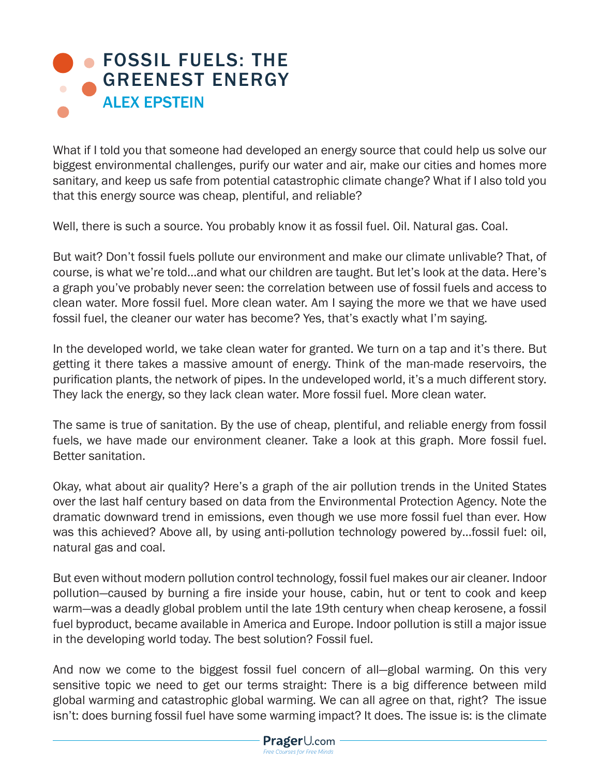## **• FOSSIL FUELS: THE** [GREENEST ENERGY](https://www.prageru.com/courses/environmental-science/fossil-fuels-greenest-energy) ALEX EPSTEIN

What if I told you that someone had developed an energy source that could help us solve our biggest environmental challenges, purify our water and air, make our cities and homes more sanitary, and keep us safe from potential catastrophic climate change? What if I also told you that this energy source was cheap, plentiful, and reliable?

Well, there is such a source. You probably know it as fossil fuel. Oil. Natural gas. Coal.

But wait? Don't fossil fuels pollute our environment and make our climate unlivable? That, of course, is what we're told…and what our children are taught. But let's look at the data. Here's a graph you've probably never seen: the correlation between use of fossil fuels and access to clean water. More fossil fuel. More clean water. Am I saying the more we that we have used fossil fuel, the cleaner our water has become? Yes, that's exactly what I'm saying.

In the developed world, we take clean water for granted. We turn on a tap and it's there. But getting it there takes a massive amount of energy. Think of the man-made reservoirs, the purification plants, the network of pipes. In the undeveloped world, it's a much different story. They lack the energy, so they lack clean water. More fossil fuel. More clean water.

The same is true of sanitation. By the use of cheap, plentiful, and reliable energy from fossil fuels, we have made our environment cleaner. Take a look at this graph. More fossil fuel. Better sanitation.

Okay, what about air quality? Here's a graph of the air pollution trends in the United States over the last half century based on data from the Environmental Protection Agency. Note the dramatic downward trend in emissions, even though we use more fossil fuel than ever. How was this achieved? Above all, by using anti-pollution technology powered by…fossil fuel: oil, natural gas and coal.

But even without modern pollution control technology, fossil fuel makes our air cleaner. Indoor pollution—caused by burning a fire inside your house, cabin, hut or tent to cook and keep warm—was a deadly global problem until the late 19th century when cheap kerosene, a fossil fuel byproduct, became available in America and Europe. Indoor pollution is still a major issue in the developing world today. The best solution? Fossil fuel.

And now we come to the biggest fossil fuel concern of all—global warming. On this very sensitive topic we need to get our terms straight: There is a big difference between mild global warming and catastrophic global warming. We can all agree on that, right? The issue isn't: does burning fossil fuel have some warming impact? It does. The issue is: is the climate